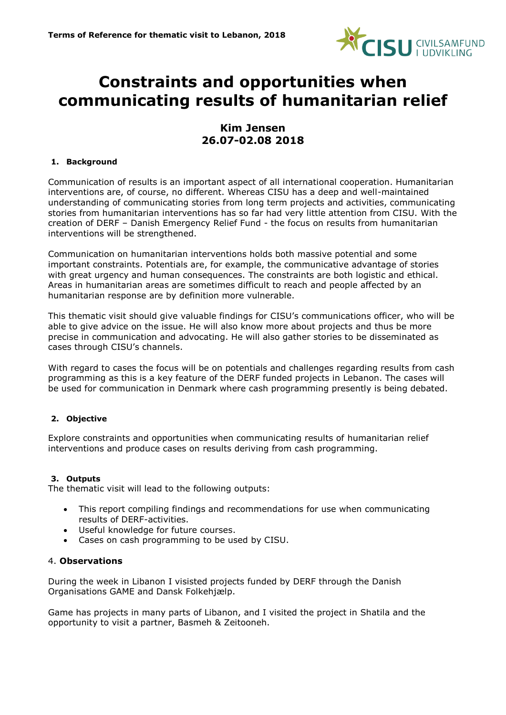

# **Constraints and opportunities when communicating results of humanitarian relief**

# **Kim Jensen 26.07-02.08 2018**

#### **1. Background**

Communication of results is an important aspect of all international cooperation. Humanitarian interventions are, of course, no different. Whereas CISU has a deep and well-maintained understanding of communicating stories from long term projects and activities, communicating stories from humanitarian interventions has so far had very little attention from CISU. With the creation of DERF – Danish Emergency Relief Fund - the focus on results from humanitarian interventions will be strengthened.

Communication on humanitarian interventions holds both massive potential and some important constraints. Potentials are, for example, the communicative advantage of stories with great urgency and human consequences. The constraints are both logistic and ethical. Areas in humanitarian areas are sometimes difficult to reach and people affected by an humanitarian response are by definition more vulnerable.

This thematic visit should give valuable findings for CISU's communications officer, who will be able to give advice on the issue. He will also know more about projects and thus be more precise in communication and advocating. He will also gather stories to be disseminated as cases through CISU's channels.

With regard to cases the focus will be on potentials and challenges regarding results from cash programming as this is a key feature of the DERF funded projects in Lebanon. The cases will be used for communication in Denmark where cash programming presently is being debated.

## **2. Objective**

Explore constraints and opportunities when communicating results of humanitarian relief interventions and produce cases on results deriving from cash programming.

#### **3. Outputs**

The thematic visit will lead to the following outputs:

- This report compiling findings and recommendations for use when communicating results of DERF-activities.
- Useful knowledge for future courses.
- Cases on cash programming to be used by CISU.

#### 4. **Observations**

During the week in Libanon I visisted projects funded by DERF through the Danish Organisations GAME and Dansk Folkehjælp.

Game has projects in many parts of Libanon, and I visited the project in Shatila and the opportunity to visit a partner, Basmeh & Zeitooneh.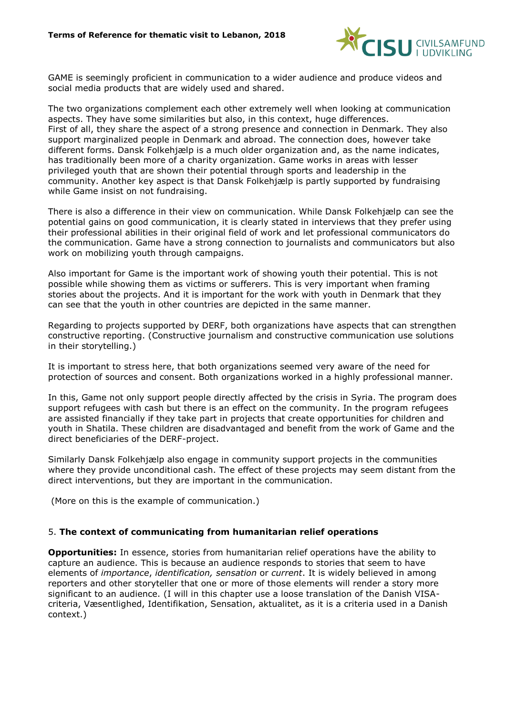

GAME is seemingly proficient in communication to a wider audience and produce videos and social media products that are widely used and shared.

The two organizations complement each other extremely well when looking at communication aspects. They have some similarities but also, in this context, huge differences. First of all, they share the aspect of a strong presence and connection in Denmark. They also support marginalized people in Denmark and abroad. The connection does, however take different forms. Dansk Folkehjælp is a much older organization and, as the name indicates, has traditionally been more of a charity organization. Game works in areas with lesser privileged youth that are shown their potential through sports and leadership in the community. Another key aspect is that Dansk Folkehjælp is partly supported by fundraising while Game insist on not fundraising.

There is also a difference in their view on communication. While Dansk Folkehjælp can see the potential gains on good communication, it is clearly stated in interviews that they prefer using their professional abilities in their original field of work and let professional communicators do the communication. Game have a strong connection to journalists and communicators but also work on mobilizing youth through campaigns.

Also important for Game is the important work of showing youth their potential. This is not possible while showing them as victims or sufferers. This is very important when framing stories about the projects. And it is important for the work with youth in Denmark that they can see that the youth in other countries are depicted in the same manner.

Regarding to projects supported by DERF, both organizations have aspects that can strengthen constructive reporting. (Constructive journalism and constructive communication use solutions in their storytelling.)

It is important to stress here, that both organizations seemed very aware of the need for protection of sources and consent. Both organizations worked in a highly professional manner.

In this, Game not only support people directly affected by the crisis in Syria. The program does support refugees with cash but there is an effect on the community. In the program refugees are assisted financially if they take part in projects that create opportunities for children and youth in Shatila. These children are disadvantaged and benefit from the work of Game and the direct beneficiaries of the DERF-project.

Similarly Dansk Folkehjælp also engage in community support projects in the communities where they provide unconditional cash. The effect of these projects may seem distant from the direct interventions, but they are important in the communication.

(More on this is the example of communication.)

## 5. **The context of communicating from humanitarian relief operations**

**Opportunities:** In essence, stories from humanitarian relief operations have the ability to capture an audience. This is because an audience responds to stories that seem to have elements of *importance*, *identification, sensation* or *current*. It is widely believed in among reporters and other storyteller that one or more of those elements will render a story more significant to an audience. (I will in this chapter use a loose translation of the Danish VISAcriteria, Væsentlighed, Identifikation, Sensation, aktualitet, as it is a criteria used in a Danish context.)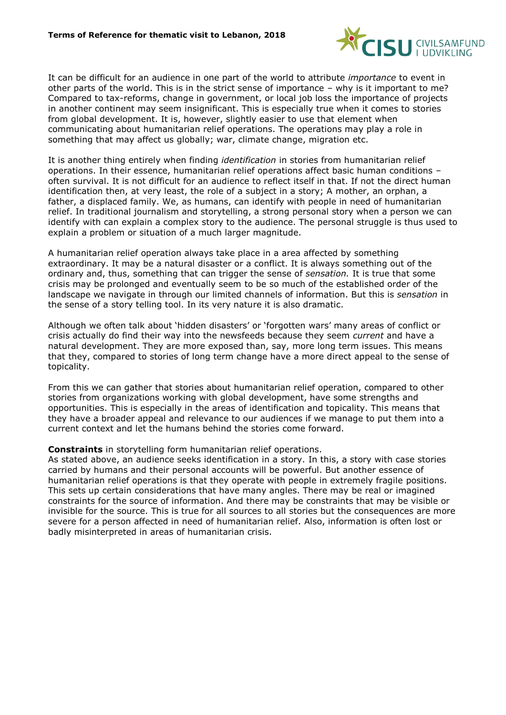

It can be difficult for an audience in one part of the world to attribute *importance* to event in other parts of the world. This is in the strict sense of importance – why is it important to me? Compared to tax-reforms, change in government, or local job loss the importance of projects in another continent may seem insignificant. This is especially true when it comes to stories from global development. It is, however, slightly easier to use that element when communicating about humanitarian relief operations. The operations may play a role in something that may affect us globally; war, climate change, migration etc.

It is another thing entirely when finding *identification* in stories from humanitarian relief operations. In their essence, humanitarian relief operations affect basic human conditions – often survival. It is not difficult for an audience to reflect itself in that. If not the direct human identification then, at very least, the role of a subject in a story; A mother, an orphan, a father, a displaced family. We, as humans, can identify with people in need of humanitarian relief. In traditional journalism and storytelling, a strong personal story when a person we can identify with can explain a complex story to the audience. The personal struggle is thus used to explain a problem or situation of a much larger magnitude.

A humanitarian relief operation always take place in a area affected by something extraordinary. It may be a natural disaster or a conflict. It is always something out of the ordinary and, thus, something that can trigger the sense of *sensation.* It is true that some crisis may be prolonged and eventually seem to be so much of the established order of the landscape we navigate in through our limited channels of information. But this is *sensation* in the sense of a story telling tool. In its very nature it is also dramatic.

Although we often talk about 'hidden disasters' or 'forgotten wars' many areas of conflict or crisis actually do find their way into the newsfeeds because they seem *current* and have a natural development. They are more exposed than, say, more long term issues. This means that they, compared to stories of long term change have a more direct appeal to the sense of topicality.

From this we can gather that stories about humanitarian relief operation, compared to other stories from organizations working with global development, have some strengths and opportunities. This is especially in the areas of identification and topicality. This means that they have a broader appeal and relevance to our audiences if we manage to put them into a current context and let the humans behind the stories come forward.

**Constraints** in storytelling form humanitarian relief operations.

As stated above, an audience seeks identification in a story. In this, a story with case stories carried by humans and their personal accounts will be powerful. But another essence of humanitarian relief operations is that they operate with people in extremely fragile positions. This sets up certain considerations that have many angles. There may be real or imagined constraints for the source of information. And there may be constraints that may be visible or invisible for the source. This is true for all sources to all stories but the consequences are more severe for a person affected in need of humanitarian relief. Also, information is often lost or badly misinterpreted in areas of humanitarian crisis.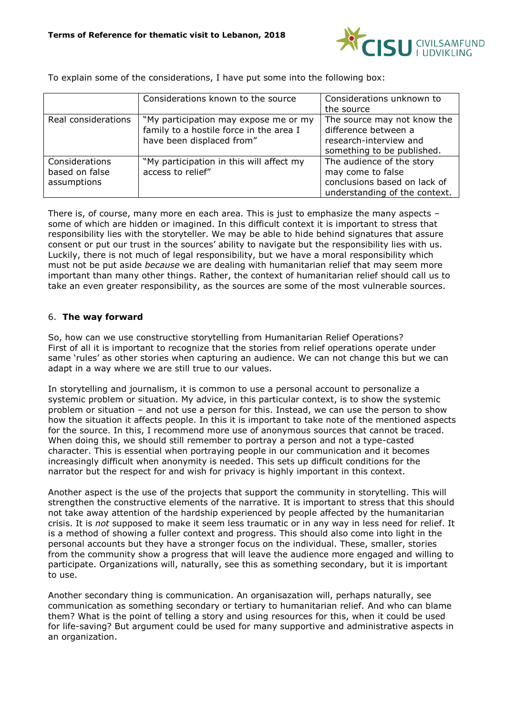

To explain some of the considerations, I have put some into the following box:

|                                                 | Considerations known to the source                                                                            | Considerations unknown to<br>the source                                                                         |
|-------------------------------------------------|---------------------------------------------------------------------------------------------------------------|-----------------------------------------------------------------------------------------------------------------|
| Real considerations                             | "My participation may expose me or my<br>family to a hostile force in the area I<br>have been displaced from" | The source may not know the<br>difference between a<br>research-interview and<br>something to be published.     |
| Considerations<br>based on false<br>assumptions | "My participation in this will affect my<br>access to relief"                                                 | The audience of the story<br>may come to false<br>conclusions based on lack of<br>understanding of the context. |

There is, of course, many more en each area. This is just to emphasize the many aspects some of which are hidden or imagined. In this difficult context it is important to stress that responsibility lies with the storyteller. We may be able to hide behind signatures that assure consent or put our trust in the sources' ability to navigate but the responsibility lies with us. Luckily, there is not much of legal responsibility, but we have a moral responsibility which must not be put aside *because* we are dealing with humanitarian relief that may seem more important than many other things. Rather, the context of humanitarian relief should call us to take an even greater responsibility, as the sources are some of the most vulnerable sources.

# 6. **The way forward**

So, how can we use constructive storytelling from Humanitarian Relief Operations? First of all it is important to recognize that the stories from relief operations operate under same 'rules' as other stories when capturing an audience. We can not change this but we can adapt in a way where we are still true to our values.

In storytelling and journalism, it is common to use a personal account to personalize a systemic problem or situation. My advice, in this particular context, is to show the systemic problem or situation – and not use a person for this. Instead, we can use the person to show how the situation it affects people. In this it is important to take note of the mentioned aspects for the source. In this, I recommend more use of anonymous sources that cannot be traced. When doing this, we should still remember to portray a person and not a type-casted character. This is essential when portraying people in our communication and it becomes increasingly difficult when anonymity is needed. This sets up difficult conditions for the narrator but the respect for and wish for privacy is highly important in this context.

Another aspect is the use of the projects that support the community in storytelling. This will strengthen the constructive elements of the narrative. It is important to stress that this should not take away attention of the hardship experienced by people affected by the humanitarian crisis. It is *not* supposed to make it seem less traumatic or in any way in less need for relief. It is a method of showing a fuller context and progress. This should also come into light in the personal accounts but they have a stronger focus on the individual. These, smaller, stories from the community show a progress that will leave the audience more engaged and willing to participate. Organizations will, naturally, see this as something secondary, but it is important to use.

Another secondary thing is communication. An organisazation will, perhaps naturally, see communication as something secondary or tertiary to humanitarian relief. And who can blame them? What is the point of telling a story and using resources for this, when it could be used for life-saving? But argument could be used for many supportive and administrative aspects in an organization.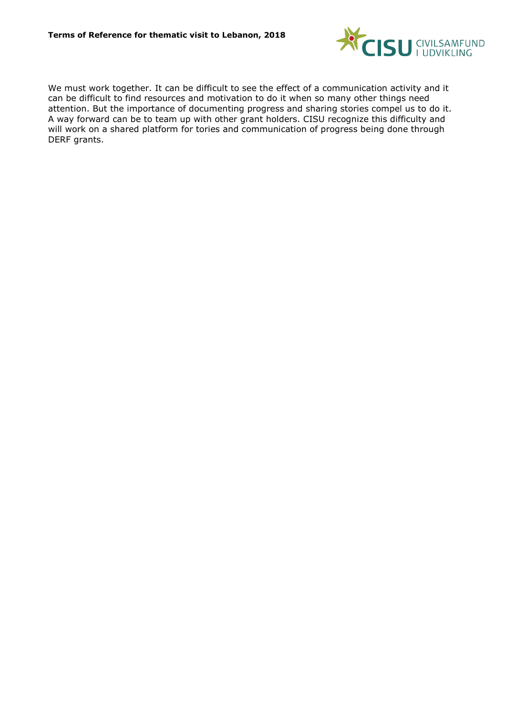

We must work together. It can be difficult to see the effect of a communication activity and it can be difficult to find resources and motivation to do it when so many other things need attention. But the importance of documenting progress and sharing stories compel us to do it. A way forward can be to team up with other grant holders. CISU recognize this difficulty and will work on a shared platform for tories and communication of progress being done through DERF grants.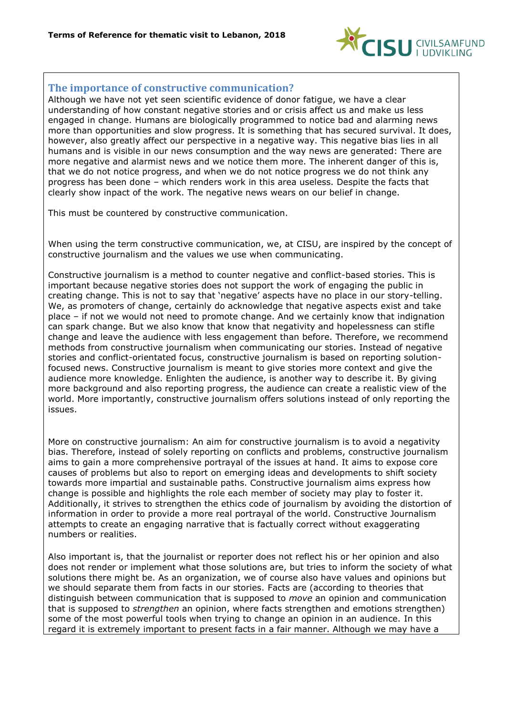

# **The importance of constructive communication?**

Although we have not yet seen scientific evidence of donor fatigue, we have a clear understanding of how constant negative stories and or crisis affect us and make us less engaged in change. Humans are biologically programmed to notice bad and alarming news more than opportunities and slow progress. It is something that has secured survival. It does, however, also greatly affect our perspective in a negative way. This negative bias lies in all humans and is visible in our news consumption and the way news are generated: There are more negative and alarmist news and we notice them more. The inherent danger of this is, that we do not notice progress, and when we do not notice progress we do not think any progress has been done – which renders work in this area useless. Despite the facts that clearly show inpact of the work. The negative news wears on our belief in change.

This must be countered by constructive communication.

When using the term constructive communication, we, at CISU, are inspired by the concept of constructive journalism and the values we use when communicating.

Constructive journalism is a method to counter negative and conflict-based stories. This is important because negative stories does not support the work of engaging the public in creating change. This is not to say that 'negative' aspects have no place in our story-telling. We, as promoters of change, certainly do acknowledge that negative aspects exist and take place – if not we would not need to promote change. And we certainly know that indignation can spark change. But we also know that know that negativity and hopelessness can stifle change and leave the audience with less engagement than before. Therefore, we recommend methods from constructive journalism when communicating our stories. Instead of negative stories and conflict-orientated focus, constructive journalism is based on reporting solutionfocused news. Constructive journalism is meant to give stories more context and give the audience more knowledge. Enlighten the audience, is another way to describe it. By giving more background and also reporting progress, the audience can create a realistic view of the world. More importantly, constructive journalism offers solutions instead of only reporting the issues.

More on constructive journalism: An aim for constructive journalism is to avoid a negativity bias. Therefore, instead of solely reporting on conflicts and problems, constructive journalism aims to gain a more comprehensive portrayal of the issues at hand. It aims to expose core causes of problems but also to report on emerging ideas and developments to shift society towards more impartial and sustainable paths. Constructive journalism aims express how change is possible and highlights the role each member of society may play to foster it. Additionally, it strives to strengthen the ethics code of journalism by avoiding the distortion of information in order to provide a more real portrayal of the world. Constructive Journalism attempts to create an engaging narrative that is factually correct without exaggerating numbers or realities.

Also important is, that the journalist or reporter does not reflect his or her opinion and also does not render or implement what those solutions are, but tries to inform the society of what solutions there might be. As an organization, we of course also have values and opinions but we should separate them from facts in our stories. Facts are (according to theories that distinguish between communication that is supposed to *move* an opinion and communication that is supposed to *strengthen* an opinion, where facts strengthen and emotions strengthen) some of the most powerful tools when trying to change an opinion in an audience. In this regard it is extremely important to present facts in a fair manner. Although we may have a